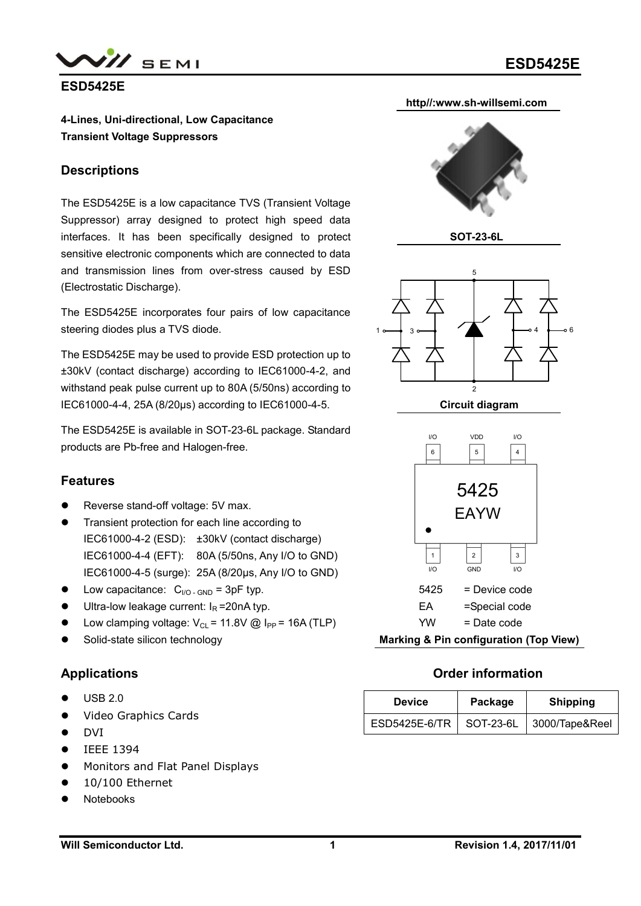



#### **ESD5425E**

**4-Lines, Uni-directional, Low Capacitance Transient Voltage Suppressors**

#### **Descriptions**

The ESD5425E is a low capacitance TVS (Transient Voltage Suppressor) array designed to protect high speed data interfaces. It has been specifically designed to protect sensitive electronic components which are connected to data and transmission lines from over-stress caused by ESD (Electrostatic Discharge).

The ESD5425E incorporates four pairs of low capacitance steering diodes plus a TVS diode.

The ESD5425E may be used to provide ESD protection up to ±30kV (contact discharge) according to IEC61000-4-2, and withstand peak pulse current up to 80A (5/50ns) according to IEC61000-4-4, 25A (8/20μs) according to IEC61000-4-5.

The ESD5425E is available in SOT-23-6L package. Standard products are Pb-free and Halogen-free.

### **Features**

- Reverse stand-off voltage: 5V max.
- Transient protection for each line according to IEC61000-4-2 (ESD): ±30kV (contact discharge) IEC61000-4-4 (EFT): 80A (5/50ns, Any I/O to GND) IEC61000-4-5 (surge): 25A (8/20μs, Any I/O to GND)
- Low capacitance:  $C_{\text{NO-GND}} = 3pF$  typ.
- Ultra-low leakage current:  $I<sub>R</sub> = 20nA$  typ.
- Low clamping voltage:  $V_{CL}$  = 11.8V @ I<sub>PP</sub> = 16A (TLP)
- Solid-state silicon technology

### **Applications**

- USB 2.0
- Video Graphics Cards
- DVI
- IEEE 1394
- **•** Monitors and Flat Panel Displays
- 10/100 Ethernet
- Notebooks





YW = Date code

**Marking & Pin configuration (Top View)**

### **Order information**

| <b>Device</b>             | Package | <b>Shipping</b> |
|---------------------------|---------|-----------------|
| ESD5425E-6/TR   SOT-23-6L |         | 3000/Tape&Reel  |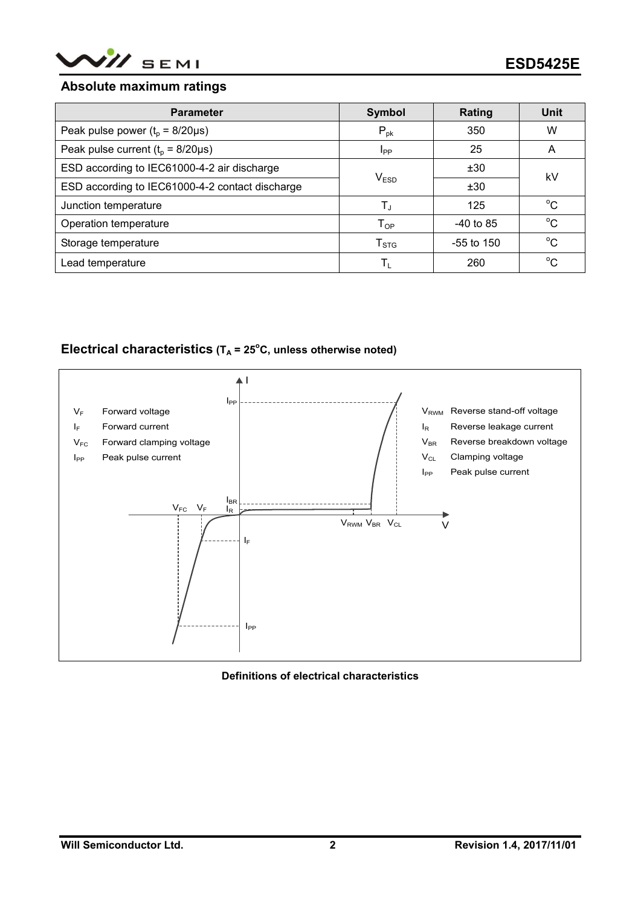

#### **Absolute maximum ratings**

| <b>Parameter</b>                                | <b>Symbol</b>                | Rating       | Unit        |  |
|-------------------------------------------------|------------------------------|--------------|-------------|--|
| Peak pulse power ( $t_0$ = 8/20 $\mu$ s)        | $P_{\text{pk}}$              | 350          | W           |  |
| Peak pulse current $(t_0 = 8/20 \mu s)$         | I <sub>PP</sub>              | 25           | A           |  |
| ESD according to IEC61000-4-2 air discharge     |                              | ±30          | kV          |  |
| ESD according to IEC61000-4-2 contact discharge | V <sub>ESD</sub>             | ±30          |             |  |
| Junction temperature                            | $T_{J}$                      | 125          | $^{\circ}C$ |  |
| Operation temperature                           | ${\mathsf T}_{\mathsf {OP}}$ | $-40$ to 85  | $^{\circ}C$ |  |
| Storage temperature                             | $T_{STG}$                    | $-55$ to 150 | $^{\circ}C$ |  |
| Lead temperature                                | T,                           | 260          | $^{\circ}C$ |  |

# **Electrical characteristics (T<sup>A</sup> = 25<sup>o</sup>C, unless otherwise noted)**



#### **Definitions of electrical characteristics**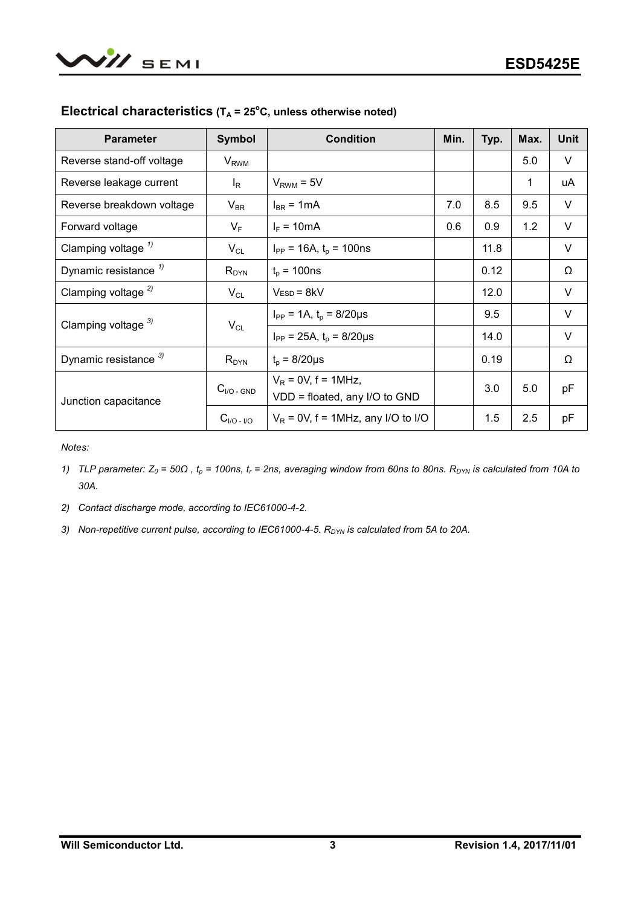| <b>Parameter</b>                 | <b>Symbol</b>              | <b>Condition</b>                                       | Min. | Typ. | Max. | <b>Unit</b> |
|----------------------------------|----------------------------|--------------------------------------------------------|------|------|------|-------------|
| Reverse stand-off voltage        | $V_{RWM}$                  |                                                        |      |      | 5.0  | V           |
| Reverse leakage current          | $I_R$                      | $V_{RWM} = 5V$                                         |      |      | 1    | uA          |
| Reverse breakdown voltage        | $\mathsf{V}_{\mathsf{BR}}$ | $I_{BR}$ = 1 mA                                        | 7.0  | 8.5  | 9.5  | V           |
| Forward voltage                  | $V_F$                      | $I_F = 10mA$                                           | 0.6  | 0.9  | 1.2  | V           |
| Clamping voltage $\frac{1}{2}$   | $V_{CL}$                   | $I_{PP}$ = 16A, $t_p$ = 100ns                          |      | 11.8 |      | $\vee$      |
| Dynamic resistance <sup>1)</sup> | $R_{DYN}$                  | $t_{p}$ = 100ns                                        |      | 0.12 |      | Ω           |
| Clamping voltage $^{2)}$         | $V_{CL}$                   | $VESD = 8kV$                                           |      | 12.0 |      | V           |
| Clamping voltage $3$             | $V_{CL}$                   | $I_{PP} = 1A$ , $t_p = 8/20 \mu s$                     |      | 9.5  |      | V           |
|                                  |                            | $I_{PP}$ = 25A, $t_p$ = 8/20µs                         |      | 14.0 |      | V           |
| Dynamic resistance 3)            | $R_{DYN}$                  | $t_{p} = 8/20 \mu s$                                   |      | 0.19 |      | Ω           |
| Junction capacitance             | $C_{\text{IO}}$ - GND      | $V_R$ = 0V, f = 1MHz,<br>VDD = floated, any I/O to GND |      | 3.0  | 5.0  | pF          |
|                                  | $C_{I/O}$ - $I/O$          | $V_R$ = 0V, f = 1MHz, any I/O to I/O                   |      | 1.5  | 2.5  | pF          |

## **Electrical characteristics (T<sup>A</sup> = 25<sup>o</sup>C, unless otherwise noted)**

*Notes:*

- *1) TLP parameter:*  $Z_0$  = 50Ω,  $t_p$  = 100ns,  $t_r$  = 2ns, averaging window from 60ns to 80ns. R<sub>DYN</sub> is calculated from 10A to *30A.*
- *2) Contact discharge mode, according to IEC61000-4-2.*
- 3) Non-repetitive current pulse, according to IEC61000-4-5. R<sub>DYN</sub> is calculated from 5A to 20A.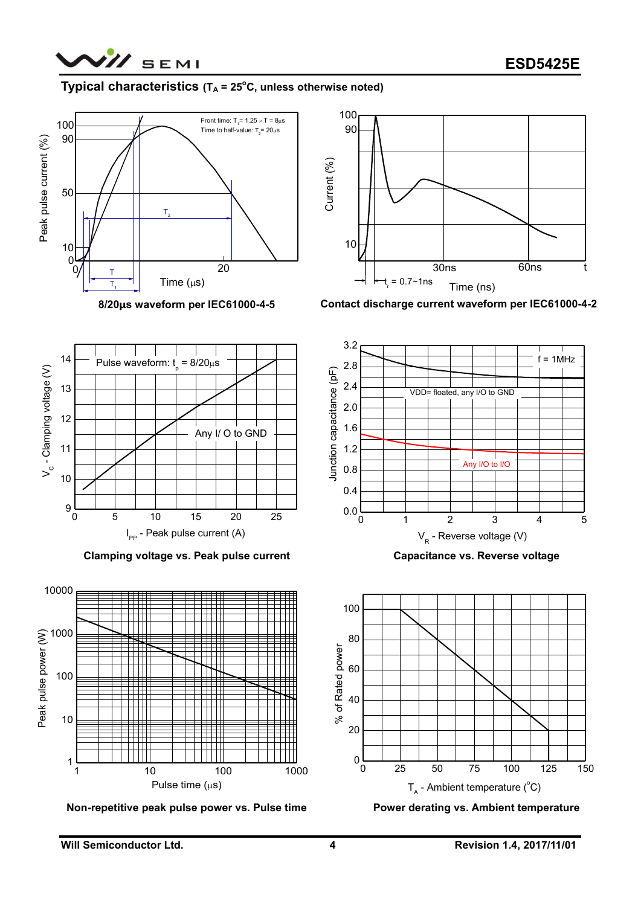

## **Typical characteristics**  $(T_A = 25^\circ \text{C},$  unless otherwise noted)



**8/20μs waveform per IEC61000-4-5**



**Contact discharge current waveform per IEC61000-4-2**



**Clamping voltage vs. Peak pulse current**

Any I/ O to GND

9

10 <del>/ | | | | | | |</del>

11

12  $\rightarrow$   $\rightarrow$   $\rightarrow$   $\rightarrow$   $\rightarrow$   $\rightarrow$ 

 $\begin{array}{c|c}\n\Sigma & \text{if } 13 \\
\hline\n\text{Hence } 13 & \text{if } 28 \\
\hline\n\text{Hence } 12 & \text{if } 18 \\
\hline\n\text{Hence } 11 & \text{if } 18 \\
\hline\n\end{array}$ 

13



**Non-repetitive peak pulse power vs. Pulse time**

**Capacitance vs. Reverse voltage**



**Power derating vs. Ambient temperature**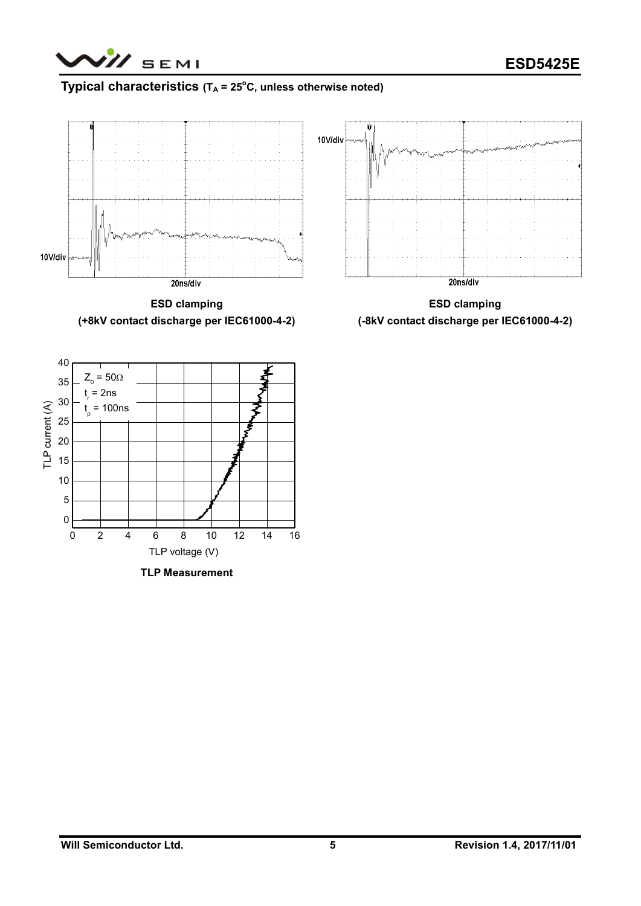

# **Typical characteristics (T<sup>A</sup> = 25<sup>o</sup>C, unless otherwise noted)**



**ESD clamping (+8kV contact discharge per IEC61000-4-2)**

**ESD clamping (-8kV contact discharge per IEC61000-4-2)**



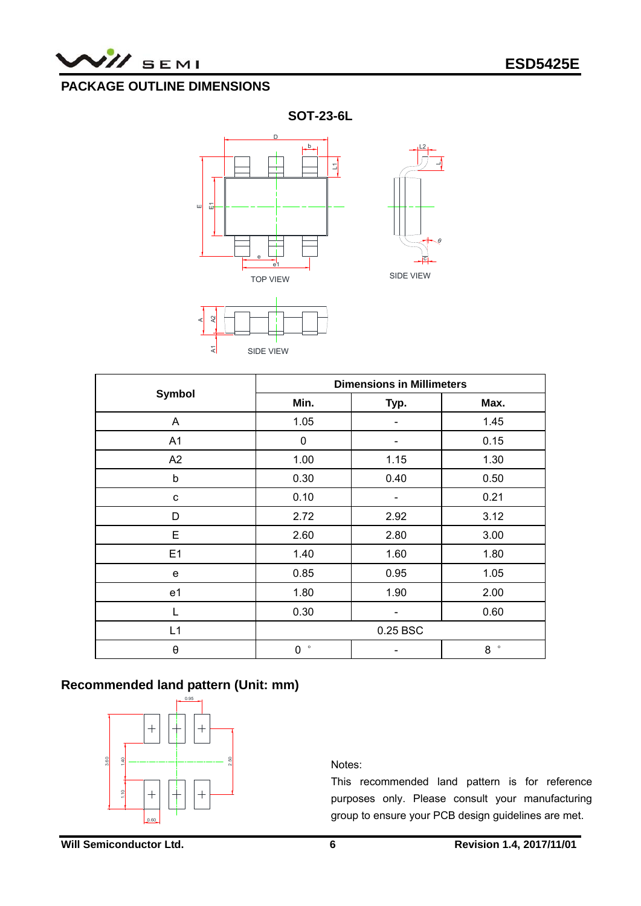

# **PACKAGE OUTLINE DIMENSIONS**

**SOT-23-6L**





A

|                       | <b>Dimensions in Millimeters</b> |      |              |  |  |
|-----------------------|----------------------------------|------|--------------|--|--|
| <b>Symbol</b>         | Min.                             | Typ. | Max.         |  |  |
| A                     | 1.05                             |      | 1.45         |  |  |
| A1                    | $\pmb{0}$                        |      | 0.15         |  |  |
| A2                    | 1.00                             | 1.15 | 1.30         |  |  |
| $\mathsf b$           | 0.30                             | 0.40 | 0.50         |  |  |
| c                     | 0.10                             |      | 0.21         |  |  |
| D                     | 2.72                             | 2.92 | 3.12         |  |  |
| E                     | 2.60                             | 2.80 | 3.00         |  |  |
| E1                    | 1.40                             | 1.60 | 1.80         |  |  |
| e                     | 0.85                             | 0.95 | 1.05         |  |  |
| e1                    | 1.80                             | 1.90 | 2.00         |  |  |
| L                     | 0.30                             |      | 0.60         |  |  |
| L1                    | 0.25 BSC                         |      |              |  |  |
| $\boldsymbol{\theta}$ | $\circ$<br>0                     |      | $\circ$<br>8 |  |  |

# **Recommended land pattern (Unit: mm)**



Notes:

This recommended land pattern is for reference purposes only. Please consult your manufacturing group to ensure your PCB design guidelines are met.